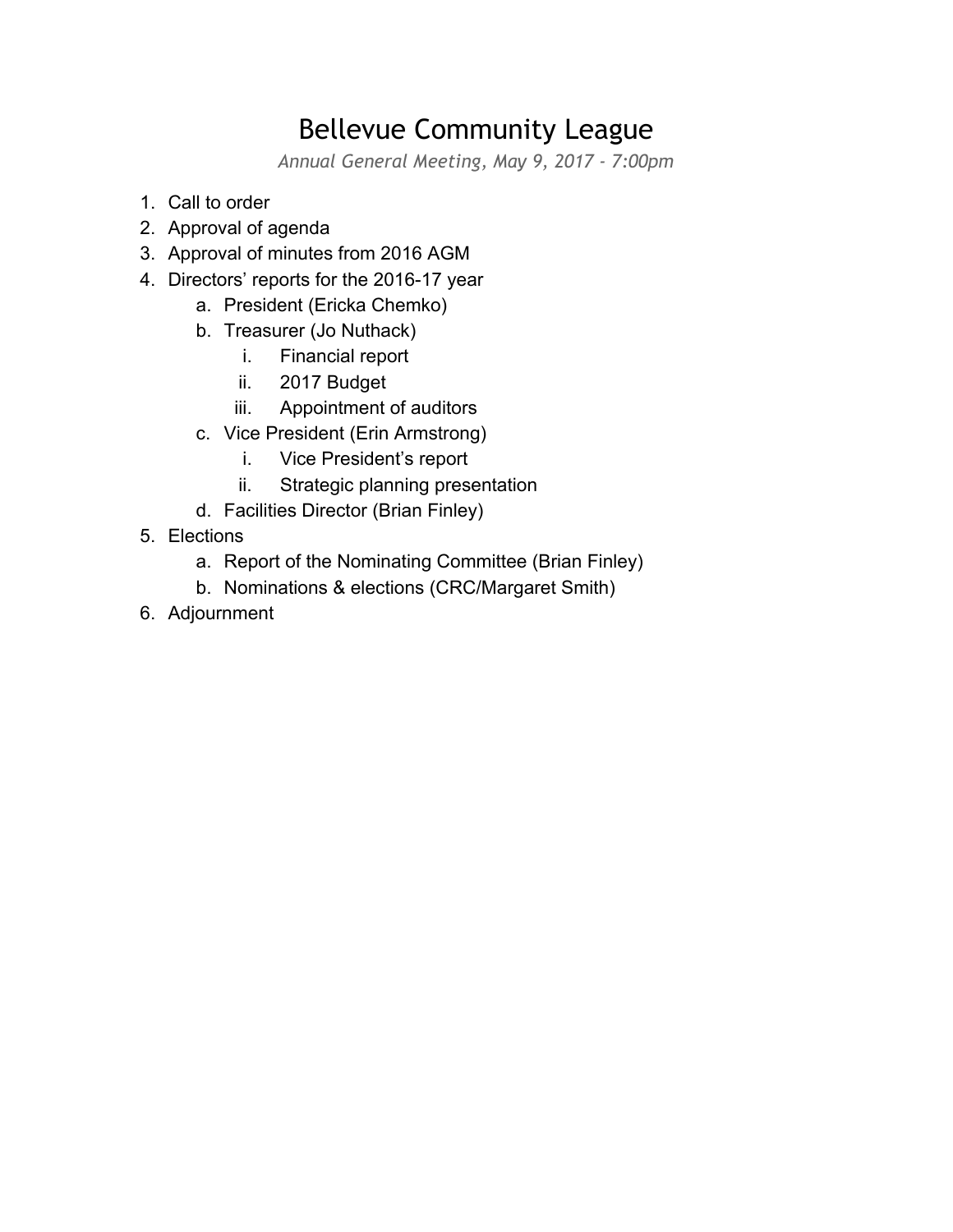## Bellevue Community League

*Annual General Meeting, May 9, 2017 - 7:00pm*

- 1. Call to order
- 2. Approval of agenda
- 3. Approval of minutes from 2016 AGM
- 4. Directors' reports for the 2016-17 year
	- a. President (Ericka Chemko)
	- b. Treasurer (Jo Nuthack)
		- i. Financial report
		- ii. 2017 Budget
		- iii. Appointment of auditors
	- c. Vice President (Erin Armstrong)
		- i. Vice President's report
		- ii. Strategic planning presentation
	- d. Facilities Director (Brian Finley)
- 5. Elections
	- a. Report of the Nominating Committee (Brian Finley)
	- b. Nominations & elections (CRC/Margaret Smith)
- 6. Adjournment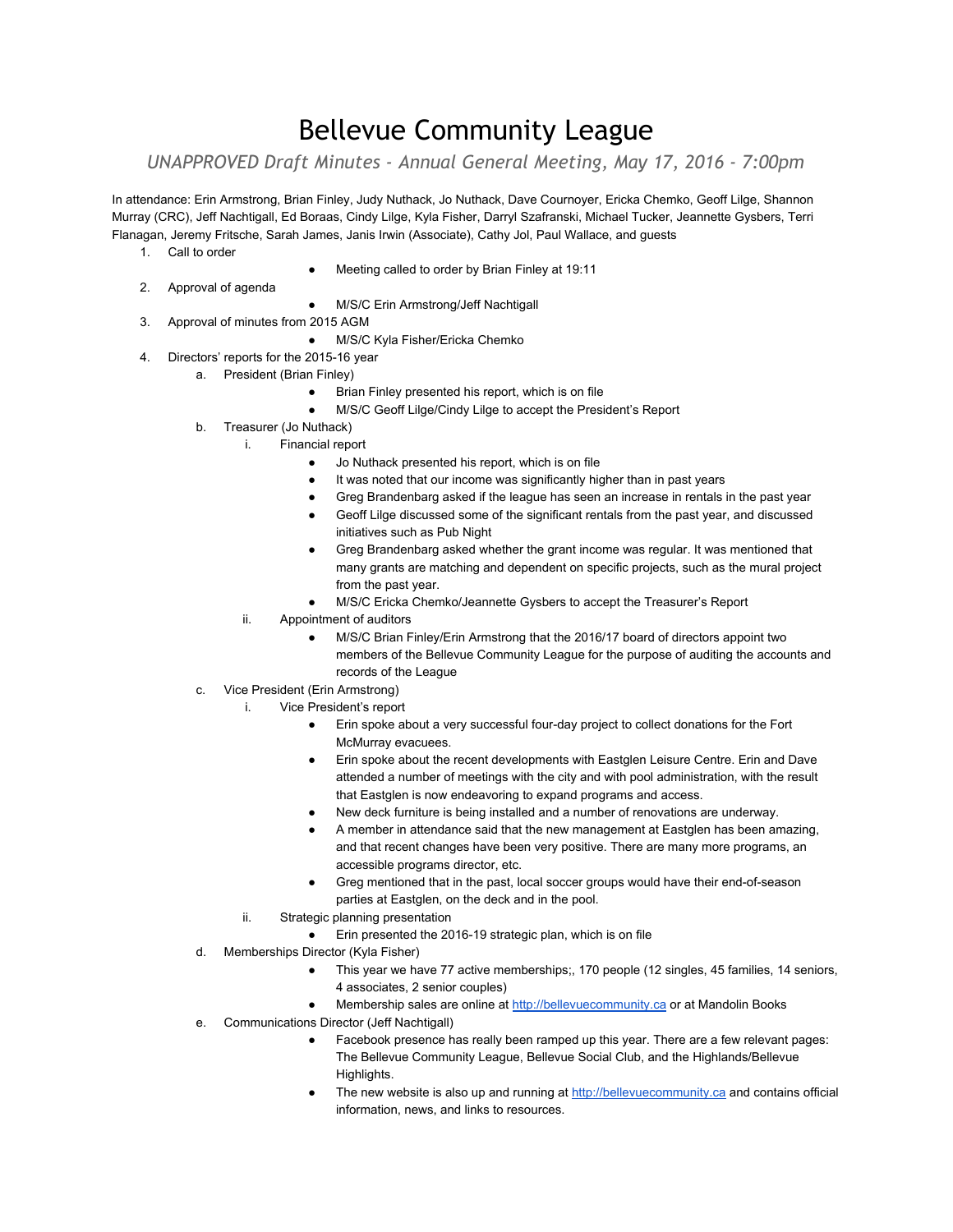### Bellevue Community League

*UNAPPROVED Draft Minutes ‐ Annual General Meeting, May 17, 2016 ‐ 7:00pm*

In attendance: Erin Armstrong, Brian Finley, Judy Nuthack, Jo Nuthack, Dave Cournoyer, Ericka Chemko, Geoff Lilge, Shannon Murray (CRC), Jeff Nachtigall, Ed Boraas, Cindy Lilge, Kyla Fisher, Darryl Szafranski, Michael Tucker, Jeannette Gysbers, Terri Flanagan, Jeremy Fritsche, Sarah James, Janis Irwin (Associate), Cathy Jol, Paul Wallace, and guests

- 1. Call to order
- Meeting called to order by Brian Finley at 19:11
- 2. Approval of agenda
- M/S/C Erin Armstrong/Jeff Nachtigall
- 3. Approval of minutes from 2015 AGM
	- M/S/C Kyla Fisher/Ericka Chemko
- 4. Directors' reports for the 2015-16 year
	- a. President (Brian Finley)
		- Brian Finley presented his report, which is on file
		- M/S/C Geoff Lilge/Cindy Lilge to accept the President's Report
	- b. Treasurer (Jo Nuthack)
		- i. Financial report
			- Jo Nuthack presented his report, which is on file
			- It was noted that our income was significantly higher than in past years
			- Greg Brandenbarg asked if the league has seen an increase in rentals in the past year
			- Geoff Lilge discussed some of the significant rentals from the past year, and discussed initiatives such as Pub Night
			- Greg Brandenbarg asked whether the grant income was regular. It was mentioned that many grants are matching and dependent on specific projects, such as the mural project from the past year.
			- M/S/C Ericka Chemko/Jeannette Gysbers to accept the Treasurer's Report
		- ii. Appointment of auditors
			- M/S/C Brian Finley/Erin Armstrong that the 2016/17 board of directors appoint two members of the Bellevue Community League for the purpose of auditing the accounts and records of the League
	- c. Vice President (Erin Armstrong)
		- i. Vice President's report
			- Erin spoke about a very successful four-day project to collect donations for the Fort McMurray evacuees.
			- Erin spoke about the recent developments with Eastglen Leisure Centre. Erin and Dave attended a number of meetings with the city and with pool administration, with the result that Eastglen is now endeavoring to expand programs and access.
			- New deck furniture is being installed and a number of renovations are underway.
			- A member in attendance said that the new management at Eastglen has been amazing, and that recent changes have been very positive. There are many more programs, an accessible programs director, etc.
			- Greg mentioned that in the past, local soccer groups would have their end-of-season parties at Eastglen, on the deck and in the pool.
		- ii. Strategic planning presentation
			- Erin presented the 2016-19 strategic plan, which is on file
	- d. Memberships Director (Kyla Fisher)
		- This year we have 77 active memberships;, 170 people (12 singles, 45 families, 14 seniors, 4 associates, 2 senior couples)
		- Membership sales are online at [http://bellevuecommunity.ca](http://bellevuecommunity.ca/) or at Mandolin Books
	- e. Communications Director (Jeff Nachtigall)
		- Facebook presence has really been ramped up this year. There are a few relevant pages: The Bellevue Community League, Bellevue Social Club, and the Highlands/Bellevue Highlights.
		- The new website is also up and running at [http://bellevuecommunity.ca](http://bellevuecommunity.ca/) and contains official information, news, and links to resources.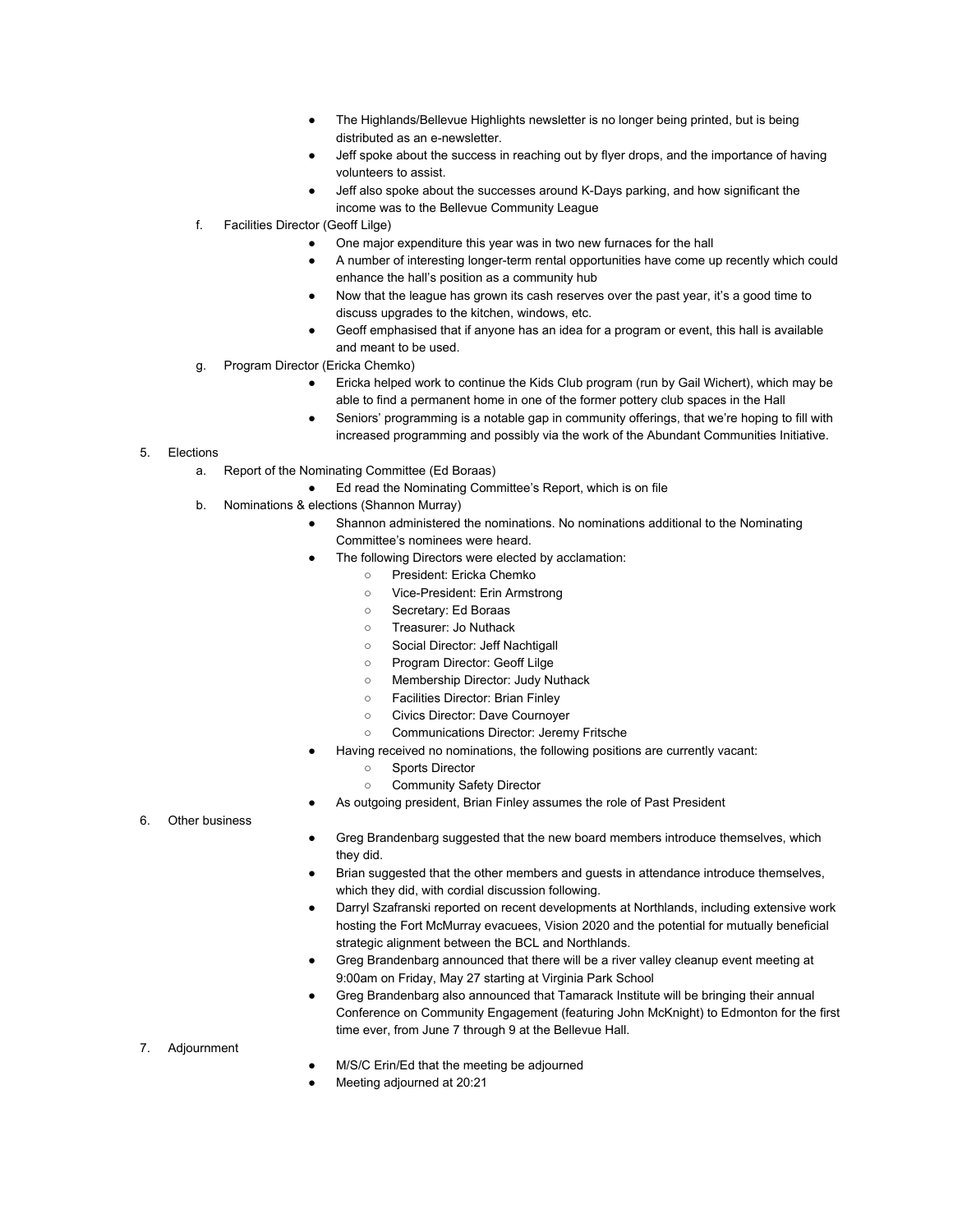- The Highlands/Bellevue Highlights newsletter is no longer being printed, but is being distributed as an e-newsletter.
- Jeff spoke about the success in reaching out by flyer drops, and the importance of having volunteers to assist.
- Jeff also spoke about the successes around K-Days parking, and how significant the income was to the Bellevue Community League
- f. Facilities Director (Geoff Lilge)
	- One major expenditure this year was in two new furnaces for the hall
	- A number of interesting longer-term rental opportunities have come up recently which could enhance the hall's position as a community hub
	- Now that the league has grown its cash reserves over the past year, it's a good time to discuss upgrades to the kitchen, windows, etc.
	- Geoff emphasised that if anyone has an idea for a program or event, this hall is available and meant to be used.
- g. Program Director (Ericka Chemko)
	- Ericka helped work to continue the Kids Club program (run by Gail Wichert), which may be able to find a permanent home in one of the former pottery club spaces in the Hall
	- Seniors' programming is a notable gap in community offerings, that we're hoping to fill with increased programming and possibly via the work of the Abundant Communities Initiative.

#### 5. Elections

- a. Report of the Nominating Committee (Ed Boraas)
	- Ed read the Nominating Committee's Report, which is on file
- b. Nominations & elections (Shannon Murray)
	- Shannon administered the nominations. No nominations additional to the Nominating Committee's nominees were heard.
	- The following Directors were elected by acclamation:
		- President: Ericka Chemko
			- Vice-President: Erin Armstrong
		- Secretary: Ed Boraas
		- Treasurer: Jo Nuthack
		- Social Director: Jeff Nachtigall
		- Program Director: Geoff Lilge
		- Membership Director: Judy Nuthack
		- Facilities Director: Brian Finley
		- Civics Director: Dave Cournoyer
		- Communications Director: Jeremy Fritsche
	- Having received no nominations, the following positions are currently vacant:
		- Sports Director
		- Community Safety Director
	- As outgoing president, Brian Finley assumes the role of Past President

#### 6. Other business

- Greg Brandenbarg suggested that the new board members introduce themselves, which they did.
- Brian suggested that the other members and guests in attendance introduce themselves, which they did, with cordial discussion following.
- Darryl Szafranski reported on recent developments at Northlands, including extensive work hosting the Fort McMurray evacuees, Vision 2020 and the potential for mutually beneficial strategic alignment between the BCL and Northlands.
- Greg Brandenbarg announced that there will be a river valley cleanup event meeting at 9:00am on Friday, May 27 starting at Virginia Park School
- Greg Brandenbarg also announced that Tamarack Institute will be bringing their annual Conference on Community Engagement (featuring John McKnight) to Edmonton for the first time ever, from June 7 through 9 at the Bellevue Hall.

#### 7. Adjournment

- M/S/C Erin/Ed that the meeting be adjourned
- Meeting adjourned at 20:21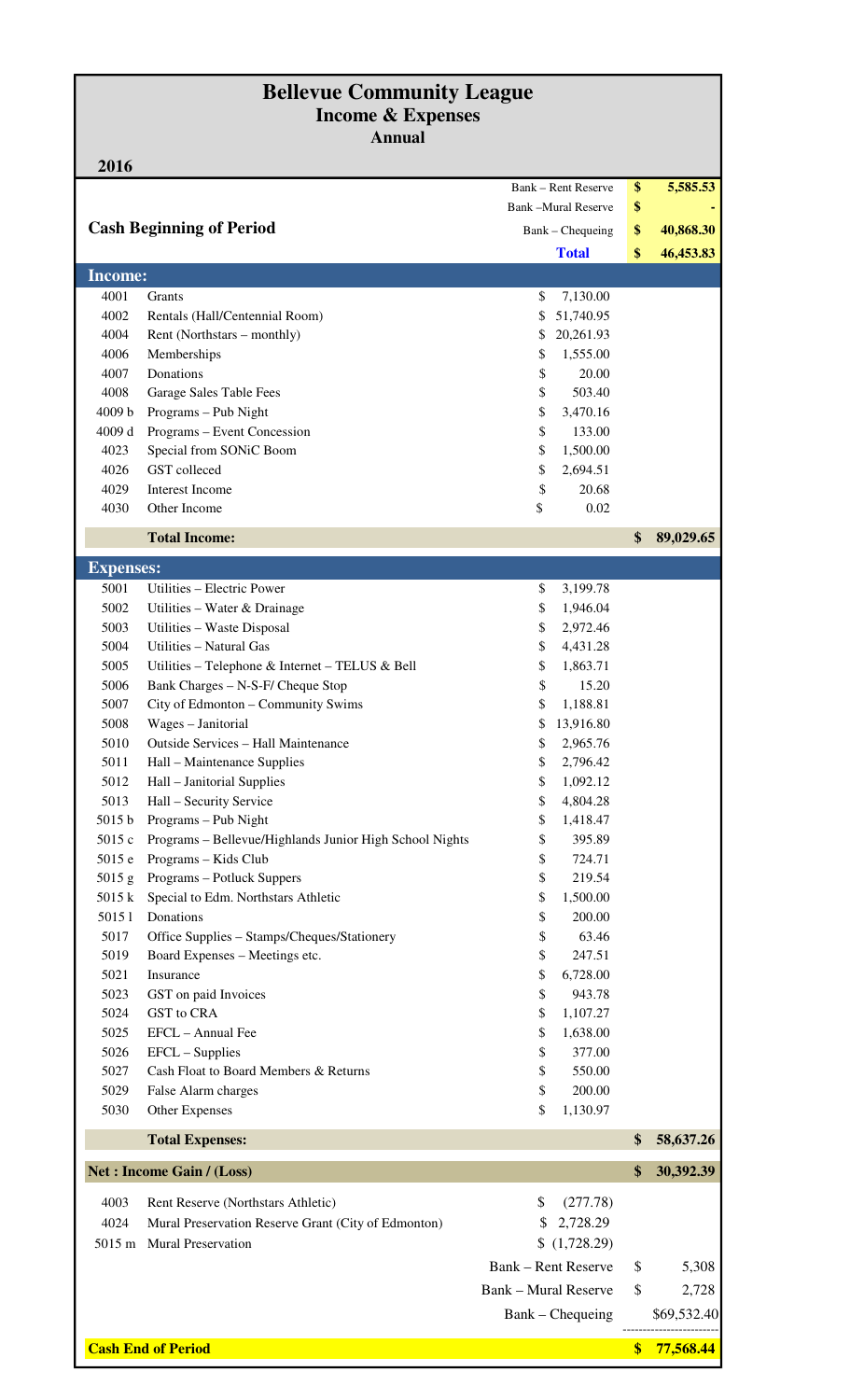### **Bellevue Community League Income & Expenses Annual**

| 2016                            |                                                         |                             |                            |                   |             |
|---------------------------------|---------------------------------------------------------|-----------------------------|----------------------------|-------------------|-------------|
|                                 |                                                         |                             | <b>Bank – Rent Reserve</b> | \$                | 5,585.53    |
|                                 |                                                         |                             | <b>Bank-Mural Reserve</b>  | \$                |             |
| <b>Cash Beginning of Period</b> |                                                         | Bank – Chequeing            |                            | \$                | 40,868.30   |
|                                 |                                                         |                             | <b>Total</b>               | \$                | 46,453.83   |
| <b>Income:</b>                  |                                                         |                             |                            |                   |             |
| 4001                            | <b>Grants</b>                                           | \$                          | 7,130.00                   |                   |             |
| 4002                            | Rentals (Hall/Centennial Room)                          | \$                          | 51,740.95                  |                   |             |
| 4004                            | Rent (Northstars – monthly)                             | \$                          | 20,261.93                  |                   |             |
| 4006                            | Memberships                                             | \$                          | 1,555.00                   |                   |             |
| 4007                            | Donations                                               | \$                          | 20.00                      |                   |             |
| 4008                            | Garage Sales Table Fees                                 | \$                          | 503.40                     |                   |             |
| 4009 b                          | Programs - Pub Night                                    | \$                          | 3,470.16                   |                   |             |
| 4009d                           | Programs – Event Concession                             | \$                          | 133.00                     |                   |             |
| 4023                            | Special from SONiC Boom                                 | \$                          | 1,500.00                   |                   |             |
| 4026                            | GST colleced                                            | \$                          | 2,694.51                   |                   |             |
| 4029                            | Interest Income                                         | \$                          | 20.68                      |                   |             |
| 4030                            | Other Income                                            | \$                          | 0.02                       |                   |             |
|                                 | <b>Total Income:</b>                                    |                             |                            | \$                | 89,029.65   |
| <b>Expenses:</b>                |                                                         |                             |                            |                   |             |
| 5001                            | Utilities - Electric Power                              | \$                          | 3,199.78                   |                   |             |
| 5002                            | Utilities – Water & Drainage                            | \$                          | 1,946.04                   |                   |             |
| 5003                            | Utilities - Waste Disposal                              | \$                          | 2,972.46                   |                   |             |
| 5004                            | Utilities – Natural Gas                                 | \$                          | 4,431.28                   |                   |             |
| 5005                            | Utilities - Telephone & Internet - TELUS & Bell         | \$                          | 1,863.71                   |                   |             |
| 5006                            | Bank Charges - N-S-F/ Cheque Stop                       | \$                          | 15.20                      |                   |             |
| 5007                            | City of Edmonton - Community Swims                      | \$                          | 1,188.81                   |                   |             |
| 5008                            | Wages - Janitorial                                      | \$                          | 13,916.80                  |                   |             |
| 5010                            | <b>Outside Services – Hall Maintenance</b>              | \$                          | 2,965.76                   |                   |             |
| 5011                            | Hall - Maintenance Supplies                             | \$                          | 2,796.42                   |                   |             |
| 5012                            | Hall - Janitorial Supplies                              | \$                          | 1,092.12                   |                   |             |
| 5013                            | Hall - Security Service                                 | \$                          | 4,804.28                   |                   |             |
| 5015 b                          | Programs - Pub Night                                    | \$                          | 1,418.47                   |                   |             |
| 5015 c                          | Programs - Bellevue/Highlands Junior High School Nights | \$                          | 395.89                     |                   |             |
| 5015 e                          | Programs - Kids Club                                    | \$                          | 724.71                     |                   |             |
| $5015$ g                        | Programs - Potluck Suppers                              | \$                          | 219.54                     |                   |             |
| 5015 k                          | Special to Edm. Northstars Athletic                     | \$                          | 1,500.00                   |                   |             |
| 50151                           | Donations                                               | \$                          | 200.00                     |                   |             |
| 5017                            | Office Supplies - Stamps/Cheques/Stationery             | \$                          | 63.46                      |                   |             |
| 5019                            | Board Expenses - Meetings etc.                          | \$                          | 247.51                     |                   |             |
| 5021                            | Insurance                                               | \$                          | 6,728.00                   |                   |             |
| 5023                            | GST on paid Invoices                                    | \$                          | 943.78                     |                   |             |
| 5024                            | GST to CRA                                              | \$                          | 1,107.27                   |                   |             |
| 5025                            | EFCL - Annual Fee                                       | \$                          | 1,638.00                   |                   |             |
| 5026                            | EFCL - Supplies                                         | \$                          | 377.00                     |                   |             |
| 5027                            | Cash Float to Board Members & Returns                   | \$                          | 550.00                     |                   |             |
| 5029                            | False Alarm charges                                     | \$                          | 200.00                     |                   |             |
| 5030                            | Other Expenses                                          | \$                          | 1,130.97                   |                   |             |
|                                 | <b>Total Expenses:</b>                                  |                             |                            | \$                | 58,637.26   |
|                                 | Net : Income Gain / (Loss)                              |                             |                            | \$                | 30,392.39   |
| 4003                            | Rent Reserve (Northstars Athletic)                      | \$                          | (277.78)                   |                   |             |
| 4024                            | Mural Preservation Reserve Grant (City of Edmonton)     | \$                          | 2,728.29                   |                   |             |
| $5015 \text{ m}$                | Mural Preservation                                      |                             | (1,728.29)                 |                   |             |
|                                 |                                                         |                             |                            |                   |             |
|                                 |                                                         |                             | <b>Bank – Rent Reserve</b> | \$                | 5,308       |
|                                 |                                                         | <b>Bank - Mural Reserve</b> |                            | \$                | 2,728       |
|                                 |                                                         |                             | Bank – Chequeing           |                   | \$69,532.40 |
|                                 | <b>Cash End of Period</b>                               |                             |                            | $\boldsymbol{\$}$ | 77,568.44   |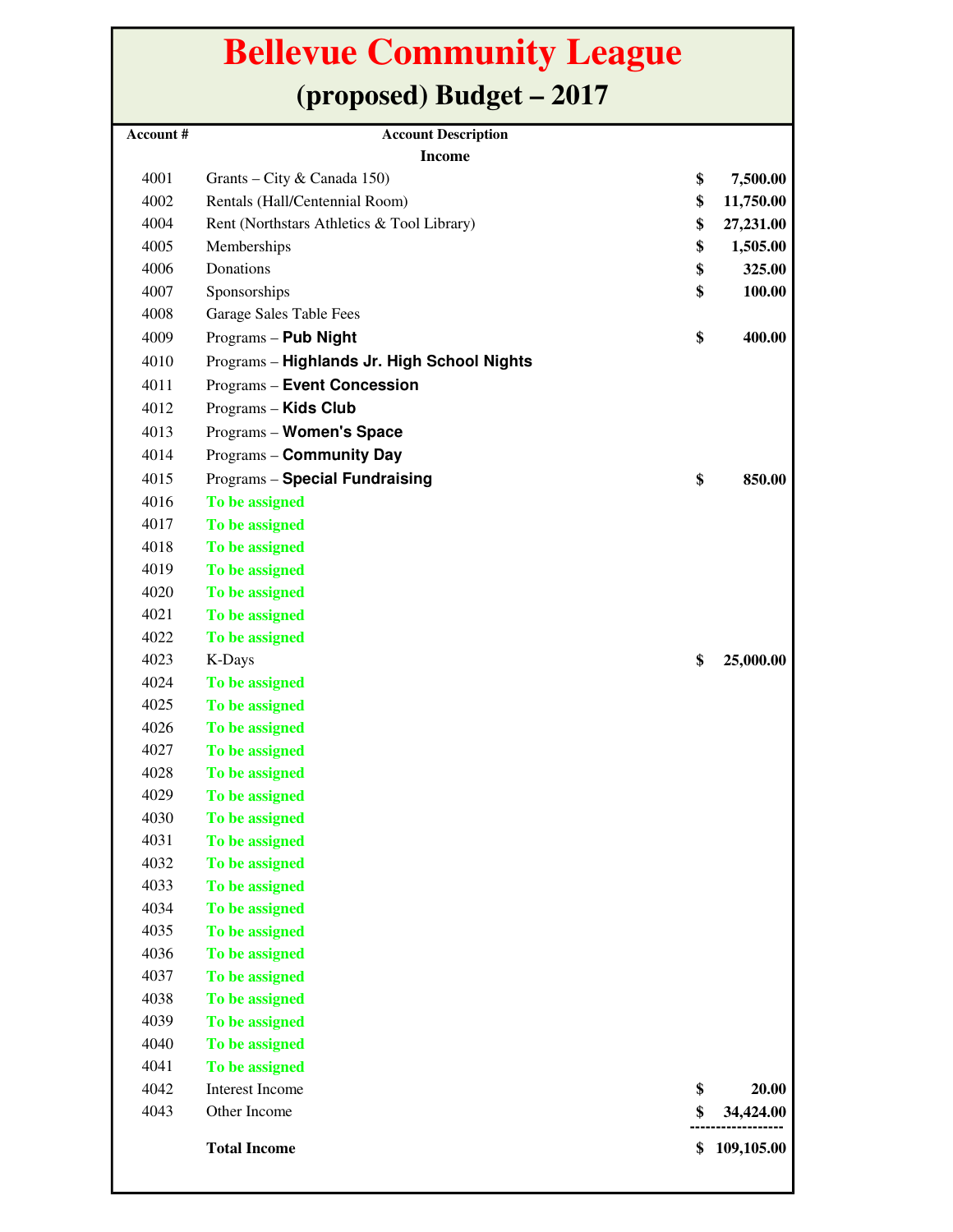## **Bellevue Community League (proposed) Budget – 2017**

| Account # | <b>Account Description</b>                  |                  |
|-----------|---------------------------------------------|------------------|
|           | <b>Income</b>                               |                  |
| 4001      | Grants – City & Canada 150)                 | \$<br>7,500.00   |
| 4002      | Rentals (Hall/Centennial Room)              | \$<br>11,750.00  |
| 4004      | Rent (Northstars Athletics & Tool Library)  | \$<br>27,231.00  |
| 4005      | Memberships                                 | \$<br>1,505.00   |
| 4006      | Donations                                   | \$<br>325.00     |
| 4007      | Sponsorships                                | \$<br>100.00     |
| 4008      | Garage Sales Table Fees                     |                  |
| 4009      | Programs - Pub Night                        | \$<br>400.00     |
| 4010      | Programs - Highlands Jr. High School Nights |                  |
| 4011      | <b>Programs - Event Concession</b>          |                  |
| 4012      | Programs - Kids Club                        |                  |
| 4013      | Programs - Women's Space                    |                  |
| 4014      | Programs - Community Day                    |                  |
| 4015      | <b>Programs - Special Fundraising</b>       | \$<br>850.00     |
| 4016      | To be assigned                              |                  |
| 4017      | To be assigned                              |                  |
| 4018      | To be assigned                              |                  |
| 4019      | To be assigned                              |                  |
| 4020      | To be assigned                              |                  |
| 4021      | To be assigned                              |                  |
| 4022      | To be assigned                              |                  |
| 4023      | K-Days                                      | \$<br>25,000.00  |
| 4024      | To be assigned                              |                  |
| 4025      | To be assigned                              |                  |
| 4026      | To be assigned                              |                  |
| 4027      | To be assigned                              |                  |
| 4028      | To be assigned                              |                  |
| 4029      | To be assigned                              |                  |
| 4030      | To be assigned                              |                  |
| 4031      | To be assigned                              |                  |
| 4032      | To be assigned                              |                  |
| 4033      | To be assigned                              |                  |
| 4034      | To be assigned                              |                  |
| 4035      | To be assigned                              |                  |
| 4036      | To be assigned                              |                  |
| 4037      | To be assigned                              |                  |
| 4038      | To be assigned                              |                  |
| 4039      | To be assigned                              |                  |
| 4040      | To be assigned                              |                  |
| 4041      | To be assigned                              |                  |
| 4042      | <b>Interest Income</b>                      | \$<br>20.00      |
| 4043      | Other Income                                | \$<br>34,424.00  |
|           |                                             |                  |
|           | <b>Total Income</b>                         | \$<br>109,105.00 |
|           |                                             |                  |